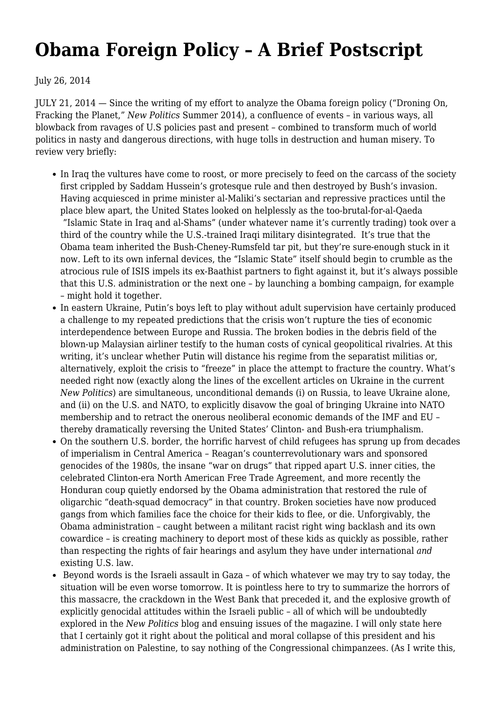## **[Obama Foreign Policy – A Brief Postscript](https://newpol.org/obama-foreign-policy-brief-postscript/)**

July 26, 2014

JULY 21, 2014 — Since the writing of my effort to analyze the Obama foreign policy (["Droning On,](http://newpol.orgdroning-fracking-planet) [Fracking the Planet,](http://newpol.orgdroning-fracking-planet)" *New Politics* Summer 2014), a confluence of events – in various ways, all blowback from ravages of U.S policies past and present – combined to transform much of world politics in nasty and dangerous directions, with huge tolls in destruction and human misery. To review very briefly:

- In Iraq the vultures have come to roost, or more precisely to feed on the carcass of the society first crippled by Saddam Hussein's grotesque rule and then destroyed by Bush's invasion. Having acquiesced in prime minister al-Maliki's sectarian and repressive practices until the place blew apart, the United States looked on helplessly as the too-brutal-for-al-Qaeda "Islamic State in Iraq and al-Shams" (under whatever name it's currently trading) took over a third of the country while the U.S.-trained Iraqi military disintegrated. It's true that the Obama team inherited the Bush-Cheney-Rumsfeld tar pit, but they're sure-enough stuck in it now. Left to its own infernal devices, the "Islamic State" itself should begin to crumble as the atrocious rule of ISIS impels its ex-Baathist partners to fight against it, but it's always possible that this U.S. administration or the next one – by launching a bombing campaign, for example – might hold it together.
- In eastern Ukraine, Putin's boys left to play without adult supervision have certainly produced a challenge to my repeated predictions that the crisis won't rupture the ties of economic interdependence between Europe and Russia. The broken bodies in the debris field of the blown-up Malaysian airliner testify to the human costs of cynical geopolitical rivalries. At this writing, it's unclear whether Putin will distance his regime from the separatist militias or, alternatively, exploit the crisis to "freeze" in place the attempt to fracture the country. What's needed right now (exactly along the lines of the excellent [articles on Ukraine](http://newpol.orgcrisis-ukraine) in the current *New Politics*) are simultaneous, unconditional demands (i) on Russia, to leave Ukraine alone, and (ii) on the U.S. and NATO, to explicitly disavow the goal of bringing Ukraine into NATO membership and to retract the onerous neoliberal economic demands of the IMF and EU – thereby dramatically reversing the United States' Clinton- and Bush-era triumphalism.
- On the southern U.S. border, the horrific harvest of child refugees has sprung up from decades of imperialism in Central America – Reagan's counterrevolutionary wars and sponsored genocides of the 1980s, the insane "war on drugs" that ripped apart U.S. inner cities, the celebrated Clinton-era North American Free Trade Agreement, and more recently the Honduran coup quietly endorsed by the Obama administration that restored the rule of oligarchic "death-squad democracy" in that country. Broken societies have now produced gangs from which families face the choice for their kids to flee, or die. Unforgivably, the Obama administration – caught between a militant racist right wing backlash and its own cowardice – is creating machinery to deport most of these kids as quickly as possible, rather than respecting the rights of fair hearings and asylum they have under international *and* existing U.S. law.
- Beyond words is the Israeli assault in Gaza of which whatever we may try to say today, the situation will be even worse tomorrow. It is pointless here to try to summarize the horrors of this massacre, the crackdown in the West Bank that preceded it, and the explosive growth of explicitly genocidal attitudes within the Israeli public – all of which will be undoubtedly explored in the *New Politics* blog and ensuing issues of the magazine. I will only state here that I certainly got it right about the political and moral collapse of this president and his administration on Palestine, to say nothing of the Congressional chimpanzees. (As I write this,